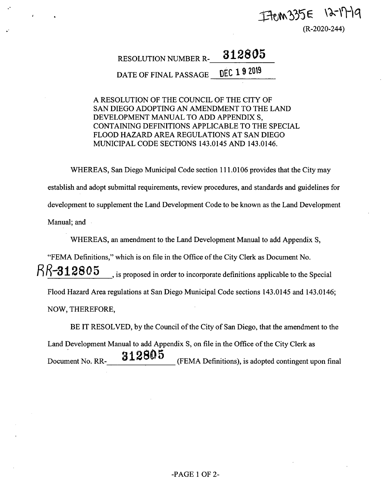## I FICM 335E 12-17-19

(R-2020-244)

### **RESOLUTION NUMBER R-** 312805

**DATE** OF FINAL PASSAGE DEC 1 9 2019

A RESOLUTION OF THE COUNCIL OF THE CITY OF SAN DIEGO ADOPTING AN AMENDMENT TO THE LAND DEVELOPMENT MANUAL TO ADD APPENDIX S, CONTAINING DEFINITIONS APPLICABLE TO THE SPECIAL FLOOD HAZARD AREA REGULATIONS AT SAN DIEGO MUNICIPAL CODE SECTIONS 143.0145 AND 143.0146.

WHEREAS, San Diego Municipal Code section 111.0106 provides that the City may

establish and adopt submittal requirements, review procedures, and standards and guidelines for development to supplement the Land Development Code to be known as the Land Development Manual; and

WHEREAS, an amendment to the Land Development Manual to add Appendix S,

"FEMA Definitions," which is on file in the Office of the City Clerk as Document No.

 $\beta\beta$ -312805 is proposed in order to incorporate definitions applicable to the Special

Flood Hazard Area regulations at San Diego Municipal Code sections 143.0145 and 143.0146;

NOW, THEREFORE,

*!*

BE IT RESOLVED, by the Council of the City of San Diego, that the amendment to the

Land Development Manual to add Appendix S, on file in the Office of the City Clerk as  $\frac{312805}{P}$  (FEMA Definitions), is adopted contingent upon final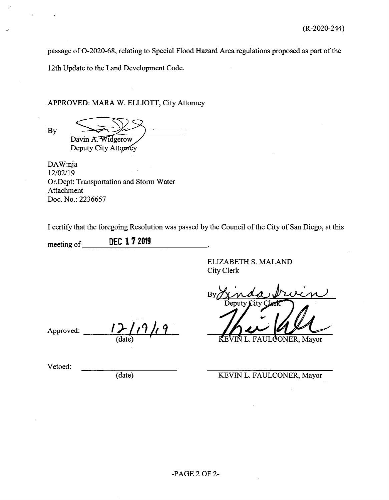passage of O-2020-68, relating to Special Flood Hazard Area regulations proposed as part of the

12th Update to the Land Development Code.

#### APPROVED: MARA W. ELLIOTT, City Attorney

By

Davin A<del>. Widgerow</del>

Deputy City Attorney

DAW:nja 12/02/19 Or.Dept: Transportation and Storm Water Attachment Doc. No.: 2236657

I certify that the foregoing Resolution was passed by the Council ofthe City of San Diego, at this

meeting of \_\_\_\_ **DEC 17 <sup>2019</sup>**

> ELIZABETH S. MALAND City Clerk

 $B<sub>1</sub>$ Deputy  $\mathcal{L}$ ity

Approved:

(date) **v:** KEVIN L. FAULCONER, Mayor

(date) KEVIN L. FAULCONER, Mayor

Vetoed: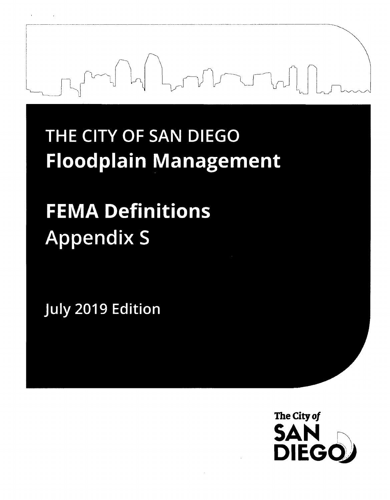# **THE CITY OF SAN DIEGO Floodplain Management**

# **FEMA Definitions Appendix <sup>S</sup>**

**July 2019 Edition**

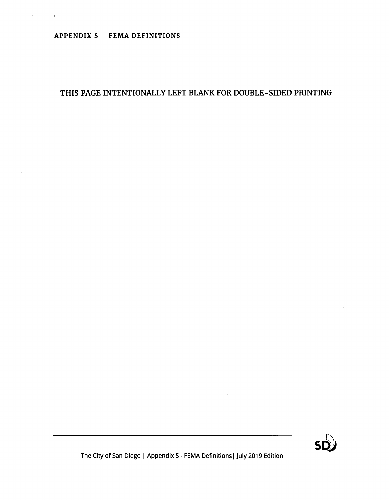#### APPENDIX S - FEMA DEFINITIONS

#### THIS PAGE INTENTIONALLY LEFT BLANK FOR DOUBLE-SIDED PRINTING

The City of San Diego <sup>|</sup> Appendix <sup>S</sup> - FEMA Definitions <sup>|</sup> July 2019 Edition

 $\sim$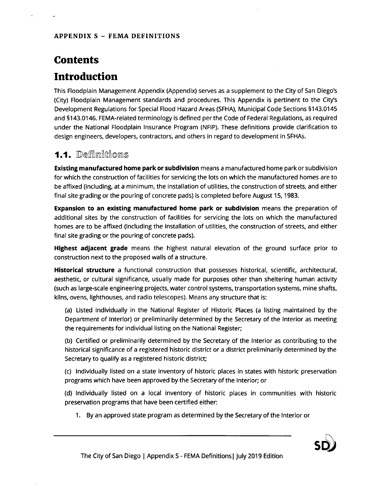### **Contents Introduction**

This Floodplain Management Appendix (Appendix) serves as a supplement to the City of San Diego's (City) Floodplain Management standards and procedures. This Appendix is pertinent to the City's Development Regulations for Special Flood Hazard Areas (SFHA), Municipal Code Sections §143.0145 and §143.0146. FEMA-related terminology is defined per the Code of Federal Regulations, as required under the National Floodplain Insurance Program (NFIP). These definitions provide clarification to design engineers, developers, contractors, and others in regard to development in SFHAs.

### **1.1.** Definitions

Existing manufactured home park or subdivision means a manufactured home park or subdivision for which the construction of facilities for servicing the lots on which the manufactured homes are to be affixed (including, at a minimum, the installation of utilities, the construction of streets, and either final site grading or the pouring of concrete pads) is completed before August 15,1983.

**Expansion to an existing manufactured home park or subdivision** means the preparation of additional sites by the construction of facilities for servicing the lots on which the manufactured homes are to be affixed (including the installation of utilities, the construction of streets, and either final site grading or the pouring of concrete pads).

**Highest adjacent grade** means the highest natural elevation of the ground surface prior to construction next to the proposed walls of a structure.

Historical structure a functional construction that possesses historical, scientific, architectural, aesthetic, or cultural significance, usually made for purposes other than sheltering human activity (such as large-scale engineering projects, water control systems, transportation systems, mine shafts, kilns, ovens, lighthouses, and radio telescopes). Means any structure that is:

(a) Listed individually in the National Register of Historic Places (a listing maintained by the Department of Interior) or preliminarily determined by the Secretary of the Interior as meeting the requirements for individual listing on the National Register;

(b) Certified or preliminarily determined by the Secretary of the Interior as contributing to the historical significance of a registered historic district or a district preliminarily determined by the Secretary to qualify as a registered historic district;

(c) Individually listed on a state inventory of historic places in states with historic preservation programs which have been approved by the Secretary of the Interior; or

(d) Individually listed on a local inventory of historic places in communities with historic preservation programs that have been certified either:

1. By an approved state program as determined by the Secretary of the Interior or

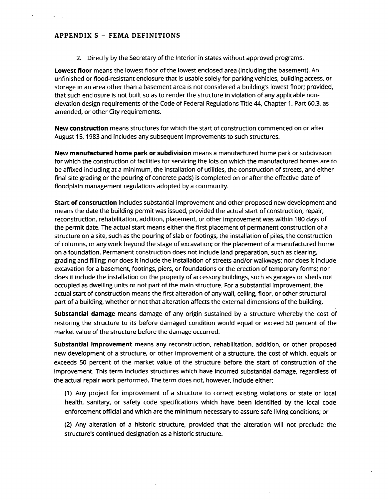#### APPENDIX <sup>S</sup> - FEMA DEFINITIONS

2. Directly by the Secretary of the Interior in states without approved programs.

Lowest floor means the lowest floor of the lowest enclosed area (including the basement). An unfinished or flood-resistant enclosure that is usable solely for parking vehicles, building access, or storage in an area other than a basement area is not considered a building's lowest floor; provided, that such enclosure is not built so as to render the structure in violation of any applicable nonelevation design requirements of the Code of Federal Regulations Title 44, Chapter 1, Part 60.3, as amended, or other City requirements.

New construction means structures for which the start of construction commenced on or after August 15,1983 and includes any subsequent improvements to such structures.

New manufactured home park or subdivision means a manufactured home park or subdivision for which the construction of facilities for servicing the lots on which the manufactured homes are to be affixed including at a minimum, the installation of utilities, the construction of streets, and either final site grading or the pouring of concrete pads) is completed on or after the effective date of floodplain management regulations adopted by a community.

Start of construction includes substantial improvement and other proposed new development and means the date the building permit was issued, provided the actual start of construction, repair, reconstruction, rehabilitation, addition, placement, or other improvement was within 180 days of the permit date. The actual start means either the first placement of permanent construction of a structure on a site, such as the pouring of slab or footings, the installation of piles, the construction of columns, or any work beyond the stage of excavation; or the placement of a manufactured home on a foundation. Permanent construction does not include land preparation, such as clearing, grading and filling; nor does it include the installation of streets and/or walkways; nor does it include excavation for a basement, footings, piers, or foundations or the erection of temporary forms; nor does it include the installation on the property of accessory buildings, such as garages or sheds not occupied as dwelling units or not part of the main structure. For a substantial improvement, the actual start of construction means the first alteration of any wall, ceiling, floor, or other structural part of a building, whether or not that alteration affects the external dimensions of the building.

Substantial damage means damage of any origin sustained by a structure whereby the cost of restoring the structure to its before damaged condition would equal or exceed 50 percent of the market value of the structure before the damage occurred.

Substantial improvement means any reconstruction, rehabilitation, addition, or other proposed new development of a structure, or other improvement of a structure, the cost of which, equals or exceeds 50 percent of the market value of the structure before the start of construction of the improvement. This term includes structures which have incurred substantial damage, regardless of the actual repair work performed. The term does not, however, include either:

(1) Any project for improvement of a structure to correct existing violations or state or local health, sanitary, or safety code specifications which have been identified by the local code enforcement official and which are the minimum necessary to assure safe living conditions; or

(2) Any alteration of a historic structure, provided that the alteration will not preclude the structure's continued designation as a historic structure.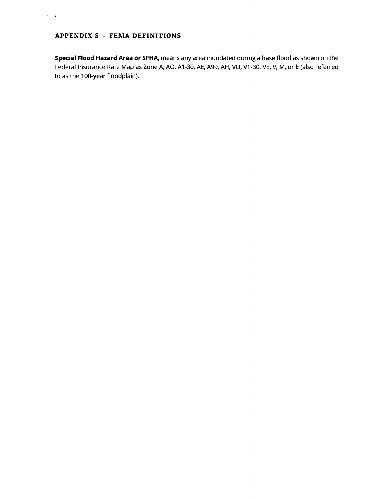#### APPENDIX <sup>S</sup> - FEMA DEFINITIONS

 $\mathcal{A}$ 

Special Flood Hazard Area or SFHA, means any area inundated during a base flood as shown on the Federal Insurance Rate Map as Zone A, AO, A1-30, AE, A99, AH, VO, V1-30, VE, V, M, or E (also referred to as the 100-year floodplain).

 $\hat{\boldsymbol{\beta}}$ 

 $\ddot{\phantom{a}}$ 

 $\sim$